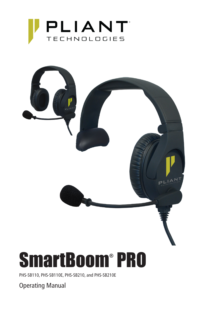



PHS-SB110, PHS-SB110E, PHS-SB210, and PHS-SB210E

Operating Manual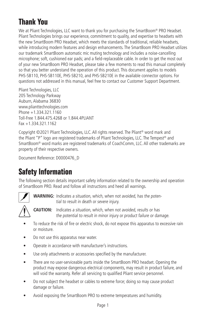# **Thank You**

We at Pliant Technologies, LLC want to thank you for purchasing the SmartBoom® PRO Headset. Pliant Technologies brings our experience, commitment to quality, and expertise to headsets with the new SmartBoom PRO Headset, which meets the standards of traditional, reliable headsets, while introducing modern features and design enhancements. The SmartBoom PRO Headset utilizes our trademark SmartBoom automatic mic muting technology and includes a noise-cancelling microphone; soft, cushioned ear pads; and a field-replaceable cable. In order to get the most out of your new SmartBoom PRO Headset, please take a few moments to read this manual completely so that you better understand the operation of this product. This document applies to models PHS-SB110, PHS-SB110E, PHS-SB210, and PHS-SB210E in the available connector options. For questions not addressed in this manual, feel free to contact our Customer Support Department.

Pliant Technologies, LLC 205 Technology Parkway Auburn, Alabama 36830 www.plianttechnologies.com Phone +1.334.321.1160 Toll-Free 1.844.475.4268 or 1.844.4PLIANT  $Fax + 1.334.321.1162$ 

Copyright ©2021 Pliant Technologies, LLC. All rights reserved. The Pliant® word mark and the Pliant "P" logo are registered trademarks of Pliant Technologies, LLC. The Tempest® and SmartBoom® word marks are registered trademarks of CoachComm, LLC. All other trademarks are property of their respective owners.

Document Reference: D0000476\_D

## **Safety Information**

The following section details important safety information related to the ownership and operation of SmartBoom PRO. Read and follow all instructions and heed all warnings.



**WARNING:** Indicates a situation, which, when not avoided, has the potential to result in death or severe injury.



**CAUTION:** Indicates a situation, which, when not avoided, results or has the potential to result in minor injury or product failure or damage.

- To reduce the risk of fire or electric shock, do not expose this apparatus to excessive rain or moisture.
- Do not use this apparatus near water.
- Operate in accordance with manufacturer's instructions.
- Use only attachments or accessories specified by the manufacturer.
- There are no user-serviceable parts inside the SmartBoom PRO headset. Opening the product may expose dangerous electrical components, may result in product failure, and will void the warranty. Refer all servicing to qualified Pliant service personnel.
- Do not subject the headset or cables to extreme force; doing so may cause product damage or failure.
- Avoid exposing the SmartBoom PRO to extreme temperatures and humidity.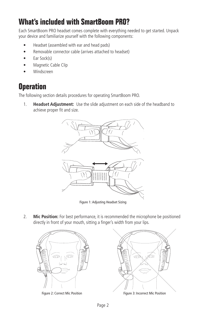## **What's included with SmartBoom PRO?**

Each SmartBoom PRO headset comes complete with everything needed to get started. Unpack your device and familiarize yourself with the following components:

- Headset (assembled with ear and head pads)
- Removable connector cable (arrives attached to headset)
- Ear Sock(s)
- Magnetic Cable Clip
- Windscreen

### **Operation**

The following section details procedures for operating SmartBoom PRO.

1. **Headset Adjustment:** Use the slide adjustment on each side of the headband to achieve proper fit and size.



Figure 1: Adjusting Headset Sizing

2. **Mic Position:** For best performance, it is recommended the microphone be positioned directly in front of your mouth, sitting a finger's width from your lips.





Figure 2: Correct Mic Position Figure 3: Incorrect Mic Position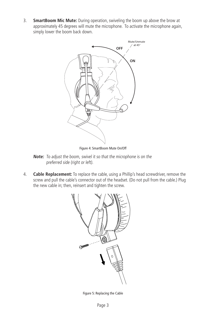3. **SmartBoom Mic Mute:** During operation, swiveling the boom up above the brow at approximately 45 degrees will mute the microphone. To activate the microphone again, simply lower the boom back down.



Figure 4: SmartBoom Mute On/Off

- **Note:** To adjust the boom, swivel it so that the microphone is on the preferred side (right or left).
- 4. **Cable Replacement:** To replace the cable, using a Phillip's head screwdriver, remove the screw and pull the cable's connector out of the headset. (Do not pull from the cable.) Plug the new cable in; then, reinsert and tighten the screw.



Figure 5: Replacing the Cable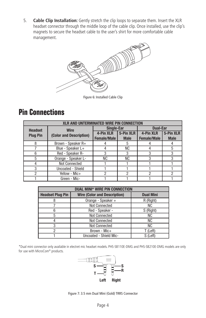5. **Cable Clip Installation:** Gently stretch the clip loops to separate them. Insert the XLR headset connector through the middle loop of the cable clip. Once installed, use the clip's magnets to secure the headset cable to the user's shirt for more comfortable cable management.



Figure 6: Installed Cable Clip

#### **Pin Connections**

| <b>XLR AND UNTERMINATED WIRE PIN CONNECTION</b> |                                        |                   |             |                    |             |  |  |  |
|-------------------------------------------------|----------------------------------------|-------------------|-------------|--------------------|-------------|--|--|--|
| <b>Headset</b>                                  | <b>Wire</b><br>(Color and Description) | <b>Single-Ear</b> |             | <b>Dual-Ear</b>    |             |  |  |  |
| <b>Plug Pin</b>                                 |                                        | 4-Pin XLR         | 5-Pin XLR   | 4-Pin XLR          | 5-Pin XLR   |  |  |  |
|                                                 |                                        | Female/Male       | <b>Male</b> | <b>Female/Male</b> | <b>Male</b> |  |  |  |
|                                                 | Brown - Speaker R+                     |                   |             |                    |             |  |  |  |
|                                                 | Blue - Speaker L+                      |                   | NC.         |                    | 5           |  |  |  |
|                                                 | Red - Speaker R-                       | 3                 |             |                    |             |  |  |  |
| 5                                               | Orange - Speaker L-                    | <b>NC</b>         | NC.         | 3                  | 3           |  |  |  |
|                                                 | <b>Not Connected</b>                   |                   |             |                    |             |  |  |  |
| 3                                               | Uncoated - Shield                      |                   |             |                    |             |  |  |  |
|                                                 | Yellow - Mic+                          | っ                 |             |                    | っ           |  |  |  |
|                                                 | Green - Mic-                           |                   |             |                    |             |  |  |  |

| <b>DUAL MINI* WIRE PIN CONNECTION</b> |                                     |                  |  |  |  |
|---------------------------------------|-------------------------------------|------------------|--|--|--|
| <b>Headset Plug Pin</b>               | <b>Wire (Color and Description)</b> | <b>Dual Mini</b> |  |  |  |
|                                       | Orange - Speaker +                  | R (Right)        |  |  |  |
|                                       | <b>Not Connected</b>                | <b>NC</b>        |  |  |  |
|                                       | Red - Speaker -                     | S (Right)        |  |  |  |
|                                       | <b>Not Connected</b>                | ΝC               |  |  |  |
|                                       | <b>Not Connected</b>                | ΝC               |  |  |  |
|                                       | <b>Not Connected</b>                | <b>NC</b>        |  |  |  |
|                                       | Brown - Mic+                        | T (Left)         |  |  |  |
|                                       | Uncoated - Shield Mic-              | S (Left)         |  |  |  |

\*Dual mini connector only available in electret mic headset models. PHS-SB110E-DMG and PHS-SB210E-DMG models are only for use with MicroCom® products.



Figure 7: 3.5 mm Dual Mini (Gold) TRRS Connector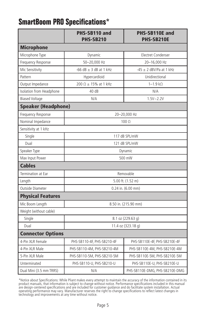### **SmartBoom PRO Specifications\***

|                                   | PHS-SB110 and<br>PHS-SB210      | PHS-SB110E and<br>PHS-SB210E   |  |  |  |  |  |
|-----------------------------------|---------------------------------|--------------------------------|--|--|--|--|--|
| <b>Microphone</b>                 |                                 |                                |  |  |  |  |  |
| Microphone Type                   | Dynamic                         | Electret Condenser             |  |  |  |  |  |
| Frequency Response                | 50-20,000 Hz                    | 20-16,000 Hz                   |  |  |  |  |  |
| Mic Sensitivity                   | -66 dB $\pm$ 3 dB at 1 kHz      | $-45 \pm 2$ dBV/Pa at 1 kHz    |  |  |  |  |  |
| Pattern                           | Hypercardioid                   | Unidirectional                 |  |  |  |  |  |
| Output Impedance                  | 200 $\Omega$ $\pm$ 15% at 1 kHz | $1-1.9$ k $\Omega$             |  |  |  |  |  |
| Isolation from Headphone          | 40 dB                           | N/A                            |  |  |  |  |  |
| <b>Biased Voltage</b>             | N/A                             | $1.5V - 2.2V$                  |  |  |  |  |  |
| <b>Speaker (Headphone)</b>        |                                 |                                |  |  |  |  |  |
| Frequency Response                | 20-20,000 Hz                    |                                |  |  |  |  |  |
| Nominal Impedance<br>$100 \Omega$ |                                 |                                |  |  |  |  |  |
| Sensitivity at 1 kHz              |                                 |                                |  |  |  |  |  |
| Single                            | 117 dB SPL/mW                   |                                |  |  |  |  |  |
| Dual                              | 121 dB SPL/mW                   |                                |  |  |  |  |  |
| Speaker Type                      | Dynamic                         |                                |  |  |  |  |  |
| Max Input Power                   | 500 mW                          |                                |  |  |  |  |  |
| <b>Cables</b>                     |                                 |                                |  |  |  |  |  |
| Termination at Ear                | Removable                       |                                |  |  |  |  |  |
| Length                            | 5.00 ft. (1.52 m)               |                                |  |  |  |  |  |
| Outside Diameter                  | 0.24 in. (6.00 mm)              |                                |  |  |  |  |  |
| <b>Physical Features</b>          |                                 |                                |  |  |  |  |  |
| Mic Boom Length                   | 8.50 in. (215.90 mm)            |                                |  |  |  |  |  |
| Weight (without cable)            |                                 |                                |  |  |  |  |  |
| Single                            | 8.1 oz (229.63 g)               |                                |  |  |  |  |  |
| Dual                              | 11.4 oz (323.18 g)              |                                |  |  |  |  |  |
| <b>Connector Options</b>          |                                 |                                |  |  |  |  |  |
| 4-Pin XLR Female                  | PHS-SB110-4F, PHS-SB210-4F      | PHS-SB110E-4F, PHS-SB210E-4F   |  |  |  |  |  |
| 4-Pin XLR Male                    | PHS-SB110-4M, PHS-SB210-4M      | PHS-SB110E-4M, PHS-SB210E-4M   |  |  |  |  |  |
| 5-Pin XLR Male                    | PHS-SB110-5M, PHS-SB210-5M      | PHS-SB110E-5M, PHS-SB210E-5M   |  |  |  |  |  |
| Unterminated                      | PHS-SB110-U, PHS-SB210-U        | PHS-SB110E-U, PHS-SB210E-U     |  |  |  |  |  |
| Dual Mini (3.5 mm TRRS)<br>N/A    |                                 | PHS-SB110E-DMG, PHS-SB210E-DMG |  |  |  |  |  |

\*Notice about Specifications: While Pliant makes every attempt to maintain the accuracy of the information contained in its<br>product manuals, that information is subject to change without notice. Performance specifications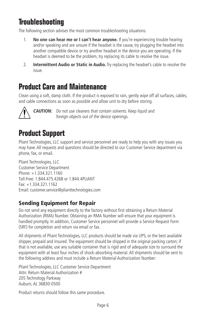## **Troubleshooting**

The following section advises the most common troubleshooting situations.

- 1. **No one can hear me or I can't hear anyone.** If you're experiencing trouble hearing and/or speaking and are unsure if the headset is the cause, try plugging the headset into another compatible device or try another headset in the device you are operating. If the headset is deemed to be the problem, try replacing its cable to resolve the issue.
- 2. **Intermittent Audio or Static in Audio.** Try replacing the headset's cable to resolve the issue.

### **Product Care and Maintenance**

Clean using a soft, damp cloth. If the product is exposed to rain, gently wipe off all surfaces, cables, and cable connections as soon as possible and allow unit to dry before storing.



**CAUTION:** Do not use cleaners that contain solvents. Keep liquid and foreign objects out of the device openings.

## **Product Support**

Pliant Technologies, LLC support and service personnel are ready to help you with any issues you may have. All requests and questions should be directed to our Customer Service department via phone, fax, or email.

Pliant Technologies, LLC Customer Service Department Phone: +1.334.321.1160 Toll-Free: 1.844.475.4268 or 1.844.4PLIANT Fax: +1.334.321.1162 Email: customer.service@plianttechnologies.com

#### Sending Equipment for Repair

Do not send any equipment directly to the factory without first obtaining a Return Material Authorization (RMA) Number. Obtaining an RMA Number will ensure that your equipment is handled promptly. In addition, Customer Service personnel will provide a Service Request Form (SRF) for completion and return via email or fax.

All shipments of Pliant Technologies, LLC products should be made via UPS, or the best available shipper, prepaid and insured. The equipment should be shipped in the original packing carton; if that is not available, use any suitable container that is rigid and of adequate size to surround the equipment with at least four inches of shock-absorbing material. All shipments should be sent to the following address and must include a Return Material Authorization Number:

Pliant Technologies, LLC Customer Service Department Attn: Return Material Authorization # 205 Technology Parkway Auburn, AL 36830-0500

Product returns should follow this same procedure.